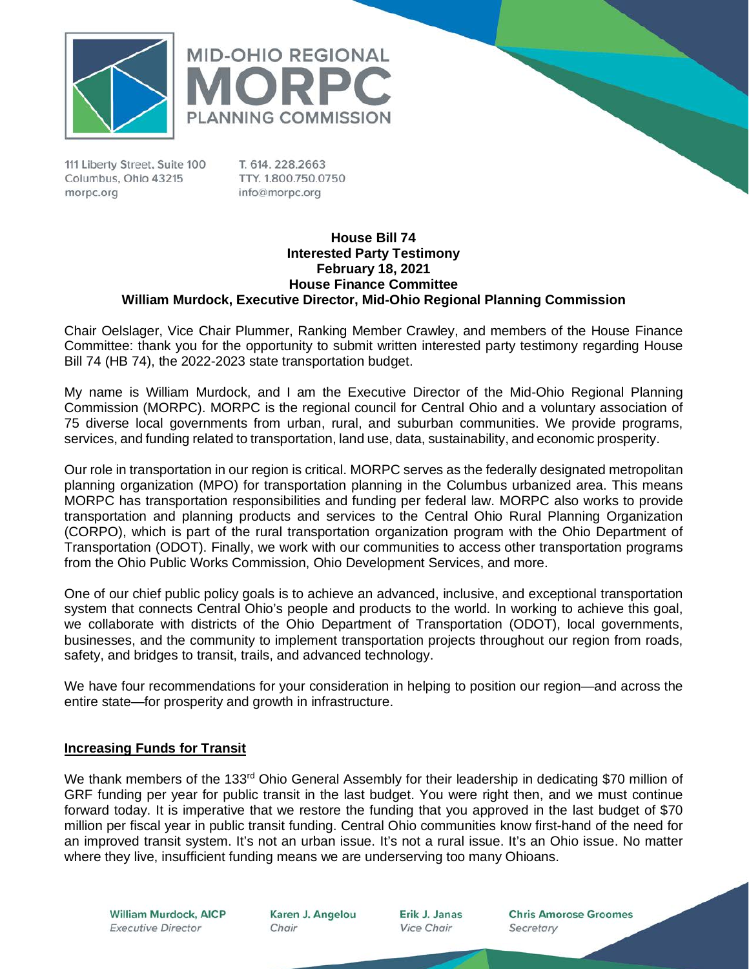



T. 614, 228, 2663 TTY, 1.800.750.0750 info@morpc.org

### **House Bill 74 Interested Party Testimony February 18, 2021 House Finance Committee William Murdock, Executive Director, Mid-Ohio Regional Planning Commission**

Chair Oelslager, Vice Chair Plummer, Ranking Member Crawley, and members of the House Finance Committee: thank you for the opportunity to submit written interested party testimony regarding House Bill 74 (HB 74), the 2022-2023 state transportation budget.

My name is William Murdock, and I am the Executive Director of the Mid-Ohio Regional Planning Commission (MORPC). MORPC is the regional council for Central Ohio and a voluntary association of 75 diverse local governments from urban, rural, and suburban communities. We provide programs, services, and funding related to transportation, land use, data, sustainability, and economic prosperity.

Our role in transportation in our region is critical. MORPC serves as the federally designated metropolitan planning organization (MPO) for transportation planning in the Columbus urbanized area. This means MORPC has transportation responsibilities and funding per federal law. MORPC also works to provide transportation and planning products and services to the Central Ohio Rural Planning Organization (CORPO), which is part of the rural transportation organization program with the Ohio Department of Transportation (ODOT). Finally, we work with our communities to access other transportation programs from the Ohio Public Works Commission, Ohio Development Services, and more.

One of our chief public policy goals is to achieve an advanced, inclusive, and exceptional transportation system that connects Central Ohio's people and products to the world. In working to achieve this goal, we collaborate with districts of the Ohio Department of Transportation (ODOT), local governments, businesses, and the community to implement transportation projects throughout our region from roads, safety, and bridges to transit, trails, and advanced technology.

We have four recommendations for your consideration in helping to position our region—and across the entire state—for prosperity and growth in infrastructure.

# **Increasing Funds for Transit**

We thank members of the 133<sup>rd</sup> Ohio General Assembly for their leadership in dedicating \$70 million of GRF funding per year for public transit in the last budget. You were right then, and we must continue forward today. It is imperative that we restore the funding that you approved in the last budget of \$70 million per fiscal year in public transit funding. Central Ohio communities know first-hand of the need for an improved transit system. It's not an urban issue. It's not a rural issue. It's an Ohio issue. No matter where they live, insufficient funding means we are underserving too many Ohioans.

**William Murdock, AICP Executive Director** 

Karen J. Angelou Chair

Erik J. Janas **Vice Chair** 

**Chris Amorose Groomes** Secretary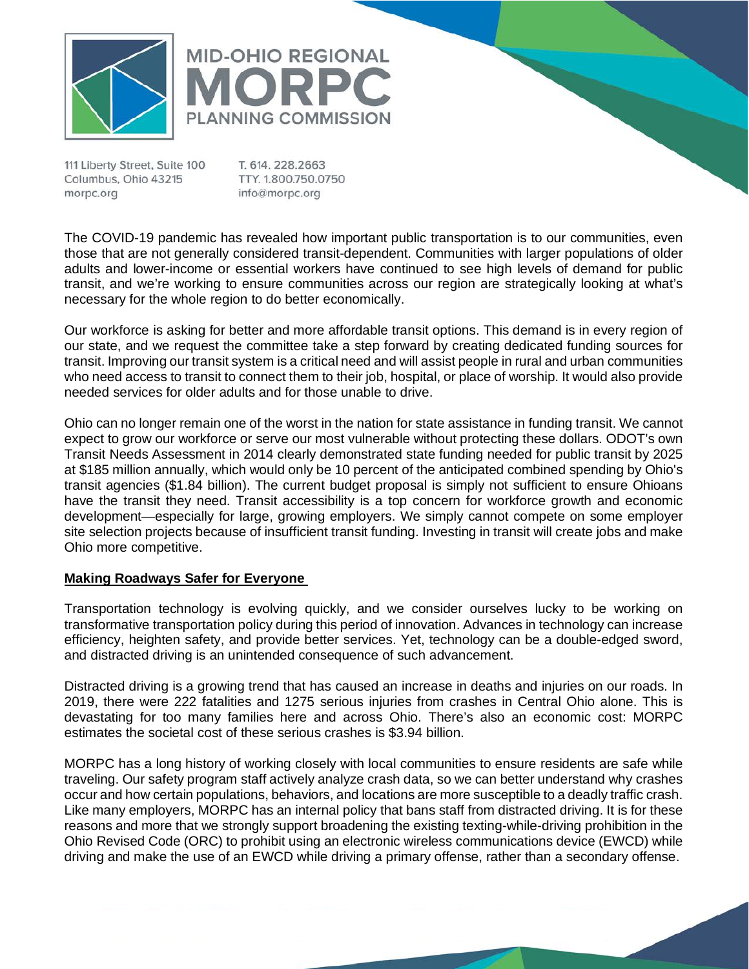



T. 614, 228, 2663 TTY. 1.800.750.0750 info@morpc.org

The COVID-19 pandemic has revealed how important public transportation is to our communities, even those that are not generally considered transit-dependent. Communities with larger populations of older adults and lower-income or essential workers have continued to see high levels of demand for public transit, and we're working to ensure communities across our region are strategically looking at what's necessary for the whole region to do better economically.

Our workforce is asking for better and more affordable transit options. This demand is in every region of our state, and we request the committee take a step forward by creating dedicated funding sources for transit. Improving our transit system is a critical need and will assist people in rural and urban communities who need access to transit to connect them to their job, hospital, or place of worship. It would also provide needed services for older adults and for those unable to drive.

Ohio can no longer remain one of the worst in the nation for state assistance in funding transit. We cannot expect to grow our workforce or serve our most vulnerable without protecting these dollars. ODOT's own Transit Needs Assessment in 2014 clearly demonstrated state funding needed for public transit by 2025 at \$185 million annually, which would only be 10 percent of the anticipated combined spending by Ohio's transit agencies (\$1.84 billion). The current budget proposal is simply not sufficient to ensure Ohioans have the transit they need. Transit accessibility is a top concern for workforce growth and economic development—especially for large, growing employers. We simply cannot compete on some employer site selection projects because of insufficient transit funding. Investing in transit will create jobs and make Ohio more competitive.

# **Making Roadways Safer for Everyone**

Transportation technology is evolving quickly, and we consider ourselves lucky to be working on transformative transportation policy during this period of innovation. Advances in technology can increase efficiency, heighten safety, and provide better services. Yet, technology can be a double-edged sword, and distracted driving is an unintended consequence of such advancement.

Distracted driving is a growing trend that has caused an increase in deaths and injuries on our roads. In 2019, there were 222 fatalities and 1275 serious injuries from crashes in Central Ohio alone. This is devastating for too many families here and across Ohio. There's also an economic cost: MORPC estimates the societal cost of these serious crashes is \$3.94 billion.

MORPC has a long history of working closely with local communities to ensure residents are safe while traveling. Our safety program staff actively analyze crash data, so we can better understand why crashes occur and how certain populations, behaviors, and locations are more susceptible to a deadly traffic crash. Like many employers, MORPC has an internal policy that bans staff from distracted driving. It is for these reasons and more that we strongly support broadening the existing texting-while-driving prohibition in the Ohio Revised Code (ORC) to prohibit using an electronic wireless communications device (EWCD) while driving and make the use of an EWCD while driving a primary offense, rather than a secondary offense.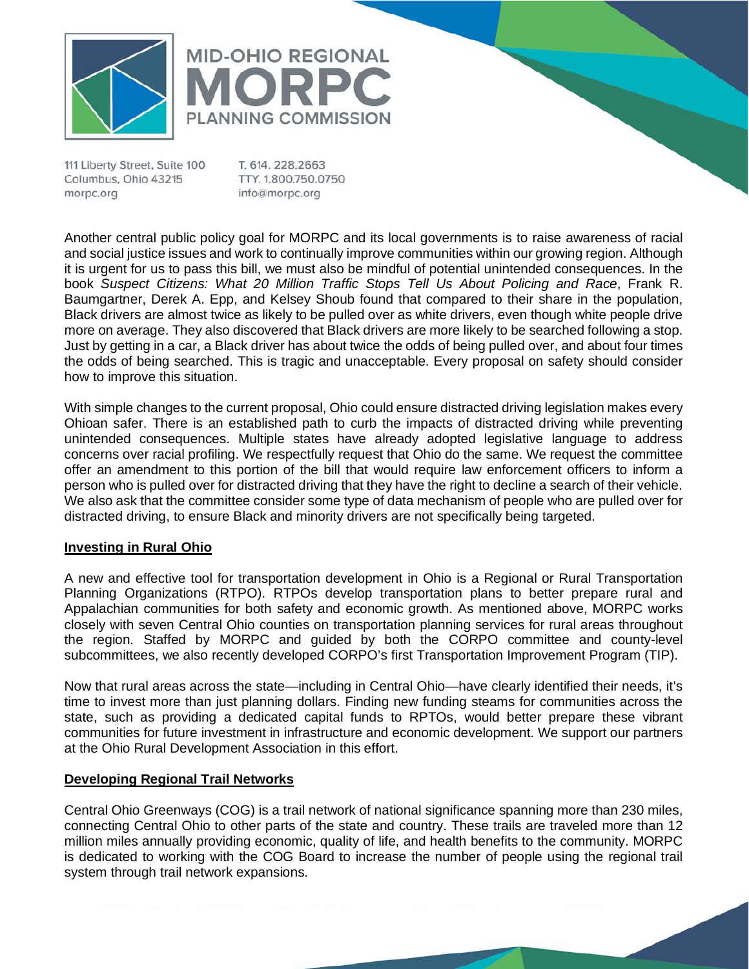



T. 614, 228, 2663 TTY. 1.800.750.0750 info@morpc.org

Another central public policy goal for MORPC and its local governments is to raise awareness of racial and social justice issues and work to continually improve communities within our growing region. Although it is urgent for us to pass this bill, we must also be mindful of potential unintended consequences. In the book *Suspect Citizens: What 20 Million Traffic Stops Tell Us About Policing and Race*, Frank R. Baumgartner, Derek A. Epp, and Kelsey Shoub found that compared to their share in the population, Black drivers are almost twice as likely to be pulled over as white drivers, even though white people drive more on average. They also discovered that Black drivers are more likely to be searched following a stop. Just by getting in a car, a Black driver has about twice the odds of being pulled over, and about four times the odds of being searched. This is tragic and unacceptable. Every proposal on safety should consider how to improve this situation.

With simple changes to the current proposal, Ohio could ensure distracted driving legislation makes every Ohioan safer. There is an established path to curb the impacts of distracted driving while preventing unintended consequences. Multiple states have already adopted legislative language to address concerns over racial profiling. We respectfully request that Ohio do the same. We request the committee offer an amendment to this portion of the bill that would require law enforcement officers to inform a person who is pulled over for distracted driving that they have the right to decline a search of their vehicle. We also ask that the committee consider some type of data mechanism of people who are pulled over for distracted driving, to ensure Black and minority drivers are not specifically being targeted.

# **Investing in Rural Ohio**

A new and effective tool for transportation development in Ohio is a Regional or Rural Transportation Planning Organizations (RTPO). RTPOs develop transportation plans to better prepare rural and Appalachian communities for both safety and economic growth. As mentioned above, MORPC works closely with seven Central Ohio counties on transportation planning services for rural areas throughout the region. Staffed by MORPC and guided by both the CORPO committee and county-level subcommittees, we also recently developed CORPO's first Transportation Improvement Program (TIP).

Now that rural areas across the state—including in Central Ohio—have clearly identified their needs, it's time to invest more than just planning dollars. Finding new funding steams for communities across the state, such as providing a dedicated capital funds to RPTOs, would better prepare these vibrant communities for future investment in infrastructure and economic development. We support our partners at the Ohio Rural Development Association in this effort.

### **Developing Regional Trail Networks**

Central Ohio Greenways (COG) is a trail network of national significance spanning more than 230 miles, connecting Central Ohio to other parts of the state and country. These trails are traveled more than 12 million miles annually providing economic, quality of life, and health benefits to the community. MORPC is dedicated to working with the COG Board to increase the number of people using the regional trail system through trail network expansions.